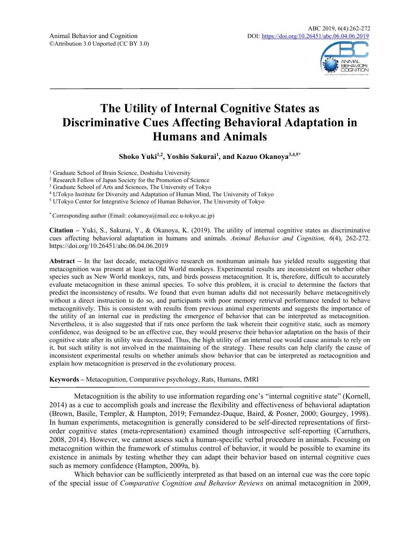

# **The Utility of Internal Cognitive States as Discriminative Cues Affecting Behavioral Adaptation in Humans and Animals**

**Shoko Yuki1,2, Yoshio Sakurai<sup>1</sup> , and Kazuo Okanoya3,4,5\***

<sup>1</sup> Graduate School of Brain Science, Doshisha University

<sup>2</sup> Research Fellow of Japan Society for the Promotion of Science

<sup>3</sup> Graduate School of Arts and Sciences, The University of Tokyo

<sup>4</sup> UTokyo Institute for Diversity and Adaptation of Human Mind, The University of Tokyo

<sup>5</sup> UTokyo Center for Integrative Science of Human Behavior, The University of Tokyo

\* Corresponding author (Email: cokanoya@mail.ecc.u-tokyo.ac.jp)

**Citation –** Yuki, S., Sakurai, Y., & Okanoya, K. (2019). The utility of internal cognitive states as discriminative cues affecting behavioral adaptation in humans and animals. *Animal Behavior and Cognition, 6*(4), 262-272. https://doi.org/10.26451/abc.06.04.06.2019

**Abstract –** In the last decade, metacognitive research on nonhuman animals has yielded results suggesting that metacognition was present at least in Old World monkeys. Experimental results are inconsistent on whether other species such as New World monkeys, rats, and birds possess metacognition. It is, therefore, difficult to accurately evaluate metacognition in these animal species. To solve this problem, it is crucial to determine the factors that predict the inconsistency of results. We found that even human adults did not necessarily behave metacognitively without a direct instruction to do so, and participants with poor memory retrieval performance tended to behave metacognitively. This is consistent with results from previous animal experiments and suggests the importance of the utility of an internal cue in predicting the emergence of behavior that can be interpreted as metacognition. Nevertheless, it is also suggested that if rats once perform the task wherein their cognitive state, such as memory confidence, was designed to be an effective cue, they would preserve their behavior adaptation on the basis of their cognitive state after its utility was decreased. Thus, the high utility of an internal cue would cause animals to rely on it, but such utility is not involved in the maintaining of the strategy. These results can help clarify the cause of inconsistent experimental results on whether animals show behavior that can be interpreted as metacognition and explain how metacognition is preserved in the evolutionary process.

**Keywords –** Metacognition, Comparative psychology, Rats, Humans, fMRI

Metacognition is the ability to use information regarding one's "internal cognitive state" (Kornell, 2014) as a cue to accomplish goals and increase the flexibility and effectiveness of behavioral adaptation (Brown, Basile, Templer, & Hampton, 2019; Fernandez-Duque, Baird, & Posner, 2000; Gourgey, 1998). In human experiments, metacognition is generally considered to be self-directed representations of firstorder cognitive states (meta-representation) examined though introspective self-reporting (Carruthers, 2008, 2014). However, we cannot assess such a human-specific verbal procedure in animals. Focusing on metacognition within the framework of stimulus control of behavior, it would be possible to examine its existence in animals by testing whether they can adapt their behavior based on internal cognitive cues such as memory confidence (Hampton, 2009a, b).

Which behavior can be sufficiently interpreted as that based on an internal cue was the core topic of the special issue of *Comparative Cognition and Behavior Reviews* on animal metacognition in 2009,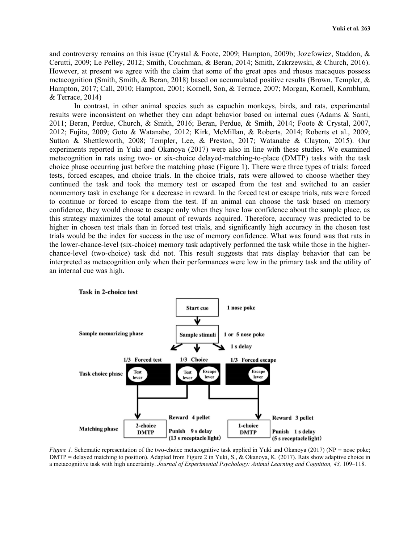and controversy remains on this issue (Crystal & Foote, 2009; Hampton, 2009b; Jozefowiez, Staddon, & Cerutti, 2009; Le Pelley, 2012; Smith, Couchman, & Beran, 2014; Smith, Zakrzewski, & Church, 2016). However, at present we agree with the claim that some of the great apes and rhesus macaques possess metacognition (Smith, Smith, & Beran, 2018) based on accumulated positive results (Brown, Templer, & Hampton, 2017; Call, 2010; Hampton, 2001; Kornell, Son, & Terrace, 2007; Morgan, Kornell, Kornblum, & Terrace, 2014)

In contrast, in other animal species such as capuchin monkeys, birds, and rats, experimental results were inconsistent on whether they can adapt behavior based on internal cues (Adams & Santi, 2011; Beran, Perdue, Church, & Smith, 2016; Beran, Perdue, & Smith, 2014; Foote & Crystal, 2007, 2012; Fujita, 2009; Goto & Watanabe, 2012; Kirk, McMillan, & Roberts, 2014; Roberts et al., 2009; Sutton & Shettleworth, 2008; Templer, Lee, & Preston, 2017; Watanabe & Clayton, 2015). Our experiments reported in Yuki and Okanoya (2017) were also in line with these studies. We examined metacognition in rats using two- or six-choice delayed-matching-to-place (DMTP) tasks with the task choice phase occurring just before the matching phase (Figure 1). There were three types of trials: forced tests, forced escapes, and choice trials. In the choice trials, rats were allowed to choose whether they continued the task and took the memory test or escaped from the test and switched to an easier nonmemory task in exchange for a decrease in reward. In the forced test or escape trials, rats were forced to continue or forced to escape from the test. If an animal can choose the task based on memory confidence, they would choose to escape only when they have low confidence about the sample place, as this strategy maximizes the total amount of rewards acquired. Therefore, accuracy was predicted to be higher in chosen test trials than in forced test trials, and significantly high accuracy in the chosen test trials would be the index for success in the use of memory confidence. What was found was that rats in the lower-chance-level (six-choice) memory task adaptively performed the task while those in the higherchance-level (two-choice) task did not. This result suggests that rats display behavior that can be interpreted as metacognition only when their performances were low in the primary task and the utility of an internal cue was high.



*Figure 1*. Schematic representation of the two-choice metacognitive task applied in Yuki and Okanoya (2017) (NP = nose poke; DMTP = delayed matching to position). Adapted from Figure 2 in Yuki, S., & Okanoya, K. (2017). Rats show adaptive choice in a metacognitive task with high uncertainty. *Journal of Experimental Psychology: Animal Learning and Cognition, 43,* 109–118.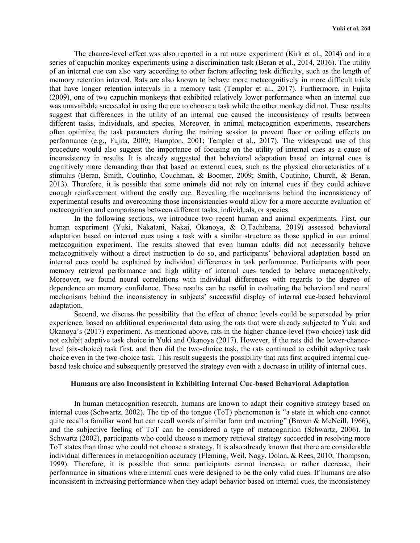The chance-level effect was also reported in a rat maze experiment (Kirk et al., 2014) and in a series of capuchin monkey experiments using a discrimination task (Beran et al., 2014, 2016). The utility of an internal cue can also vary according to other factors affecting task difficulty, such as the length of memory retention interval. Rats are also known to behave more metacognitively in more difficult trials that have longer retention intervals in a memory task (Templer et al., 2017). Furthermore, in Fujita (2009), one of two capuchin monkeys that exhibited relatively lower performance when an internal cue was unavailable succeeded in using the cue to choose a task while the other monkey did not. These results suggest that differences in the utility of an internal cue caused the inconsistency of results between different tasks, individuals, and species. Moreover, in animal metacognition experiments, researchers often optimize the task parameters during the training session to prevent floor or ceiling effects on performance (e.g., Fujita, 2009; Hampton, 2001; Templer et al., 2017). The widespread use of this procedure would also suggest the importance of focusing on the utility of internal cues as a cause of inconsistency in results. It is already suggested that behavioral adaptation based on internal cues is cognitively more demanding than that based on external cues, such as the physical characteristics of a stimulus (Beran, Smith, Coutinho, Couchman, & Boomer, 2009; Smith, Coutinho, Church, & Beran, 2013). Therefore, it is possible that some animals did not rely on internal cues if they could achieve enough reinforcement without the costly cue. Revealing the mechanisms behind the inconsistency of experimental results and overcoming those inconsistencies would allow for a more accurate evaluation of metacognition and comparisons between different tasks, individuals, or species.

In the following sections, we introduce two recent human and animal experiments. First, our human experiment (Yuki, Nakatani, Nakai, Okanoya, & O.Tachibana, 2019) assessed behavioral adaptation based on internal cues using a task with a similar structure as those applied in our animal metacognition experiment. The results showed that even human adults did not necessarily behave metacognitively without a direct instruction to do so, and participants' behavioral adaptation based on internal cues could be explained by individual differences in task performance. Participants with poor memory retrieval performance and high utility of internal cues tended to behave metacognitively. Moreover, we found neural correlations with individual differences with regards to the degree of dependence on memory confidence. These results can be useful in evaluating the behavioral and neural mechanisms behind the inconsistency in subjects' successful display of internal cue-based behavioral adaptation.

Second, we discuss the possibility that the effect of chance levels could be superseded by prior experience, based on additional experimental data using the rats that were already subjected to Yuki and Okanoya's (2017) experiment. As mentioned above, rats in the higher-chance-level (two-choice) task did not exhibit adaptive task choice in Yuki and Okanoya (2017). However, if the rats did the lower-chancelevel (six-choice) task first, and then did the two-choice task, the rats continued to exhibit adaptive task choice even in the two-choice task. This result suggests the possibility that rats first acquired internal cuebased task choice and subsequently preserved the strategy even with a decrease in utility of internal cues.

#### **Humans are also Inconsistent in Exhibiting Internal Cue-based Behavioral Adaptation**

In human metacognition research, humans are known to adapt their cognitive strategy based on internal cues (Schwartz, 2002). The tip of the tongue (ToT) phenomenon is "a state in which one cannot quite recall a familiar word but can recall words of similar form and meaning" (Brown & McNeill, 1966), and the subjective feeling of ToT can be considered a type of metacognition (Schwartz, 2006). In Schwartz (2002), participants who could choose a memory retrieval strategy succeeded in resolving more ToT states than those who could not choose a strategy. It is also already known that there are considerable individual differences in metacognition accuracy (Fleming, Weil, Nagy, Dolan, & Rees, 2010; Thompson, 1999). Therefore, it is possible that some participants cannot increase, or rather decrease, their performance in situations where internal cues were designed to be the only valid cues. If humans are also inconsistent in increasing performance when they adapt behavior based on internal cues, the inconsistency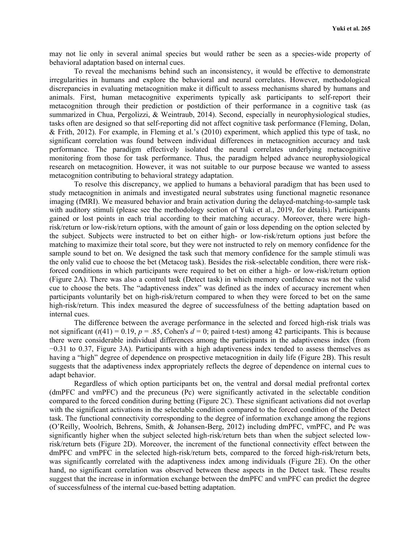may not lie only in several animal species but would rather be seen as a species-wide property of behavioral adaptation based on internal cues.

To reveal the mechanisms behind such an inconsistency, it would be effective to demonstrate irregularities in humans and explore the behavioral and neural correlates. However, methodological discrepancies in evaluating metacognition make it difficult to assess mechanisms shared by humans and animals. First, human metacognitive experiments typically ask participants to self-report their metacognition through their prediction or postdiction of their performance in a cognitive task (as summarized in Chua, Pergolizzi, & Weintraub, 2014). Second, especially in neurophysiological studies, tasks often are designed so that self-reporting did not affect cognitive task performance (Fleming, Dolan, & Frith, 2012). For example, in Fleming et al.'s (2010) experiment, which applied this type of task, no significant correlation was found between individual differences in metacognition accuracy and task performance. The paradigm effectively isolated the neural correlates underlying metacognitive monitoring from those for task performance. Thus, the paradigm helped advance neurophysiological research on metacognition. However, it was not suitable to our purpose because we wanted to assess metacognition contributing to behavioral strategy adaptation.

To resolve this discrepancy, we applied to humans a behavioral paradigm that has been used to study metacognition in animals and investigated neural substrates using functional magnetic resonance imaging (fMRI). We measured behavior and brain activation during the delayed-matching-to-sample task with auditory stimuli (please see the methodology section of Yuki et al., 2019, for details). Participants gained or lost points in each trial according to their matching accuracy. Moreover, there were highrisk/return or low-risk/return options, with the amount of gain or loss depending on the option selected by the subject. Subjects were instructed to bet on either high- or low-risk/return options just before the matching to maximize their total score, but they were not instructed to rely on memory confidence for the sample sound to bet on. We designed the task such that memory confidence for the sample stimuli was the only valid cue to choose the bet (Metacog task). Besides the risk-selectable condition, there were riskforced conditions in which participants were required to bet on either a high- or low-risk/return option (Figure 2A). There was also a control task (Detect task) in which memory confidence was not the valid cue to choose the bets. The "adaptiveness index" was defined as the index of accuracy increment when participants voluntarily bet on high-risk/return compared to when they were forced to bet on the same high-risk/return. This index measured the degree of successfulness of the betting adaptation based on internal cues.

The difference between the average performance in the selected and forced high-risk trials was not significant  $(t(41) = 0.19, p = .85$ , Cohen's  $d = 0$ ; paired t-test) among 42 participants. This is because there were considerable individual differences among the participants in the adaptiveness index (from −0.31 to 0.37, Figure 3A). Participants with a high adaptiveness index tended to assess themselves as having a "high" degree of dependence on prospective metacognition in daily life (Figure 2B). This result suggests that the adaptiveness index appropriately reflects the degree of dependence on internal cues to adapt behavior.

Regardless of which option participants bet on, the ventral and dorsal medial prefrontal cortex (dmPFC and vmPFC) and the precuneus (Pc) were significantly activated in the selectable condition compared to the forced condition during betting (Figure 2C). These significant activations did not overlap with the significant activations in the selectable condition compared to the forced condition of the Detect task. The functional connectivity corresponding to the degree of information exchange among the regions (O'Reilly, Woolrich, Behrens, Smith, & Johansen-Berg, 2012) including dmPFC, vmPFC, and Pc was significantly higher when the subject selected high-risk/return bets than when the subject selected lowrisk/return bets (Figure 2D). Moreover, the increment of the functional connectivity effect between the dmPFC and vmPFC in the selected high-risk/return bets, compared to the forced high-risk/return bets, was significantly correlated with the adaptiveness index among individuals (Figure 2E). On the other hand, no significant correlation was observed between these aspects in the Detect task. These results suggest that the increase in information exchange between the dmPFC and vmPFC can predict the degree of successfulness of the internal cue-based betting adaptation.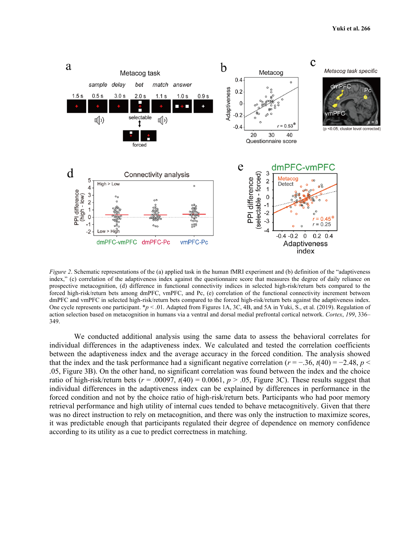

*Figure 2.* Schematic representations of the (a) applied task in the human fMRI experiment and (b) definition of the "adaptiveness" index," (c) correlation of the adaptiveness index against the questionnaire score that measures the degree of daily reliance on prospective metacognition, (d) difference in functional connectivity indices in selected high-risk/return bets compared to the forced high-risk/return bets among dmPFC, vmPFC, and Pc, (e) correlation of the functional connectivity increment between dmPFC and vmPFC in selected high-risk/return bets compared to the forced high-risk/return bets against the adaptiveness index. One cycle represents one participant. \**p* < .01. Adapted from Figures 1A, 3C, 4B, and 5A in Yuki, S., et al. (2019). Regulation of action selection based on metacognition in humans via a ventral and dorsal medial prefrontal cortical network. *Cortex*, *199*, 336– 349.

We conducted additional analysis using the same data to assess the behavioral correlates for individual differences in the adaptiveness index. We calculated and tested the correlation coefficients between the adaptiveness index and the average accuracy in the forced condition. The analysis showed that the index and the task performance had a significant negative correlation  $(r = -.36, t(40) = -2.48, p <$ .05, Figure 3B). On the other hand, no significant correlation was found between the index and the choice ratio of high-risk/return bets ( $r = .00097$ ,  $t(40) = 0.0061$ ,  $p > .05$ , Figure 3C). These results suggest that individual differences in the adaptiveness index can be explained by differences in performance in the forced condition and not by the choice ratio of high-risk/return bets. Participants who had poor memory retrieval performance and high utility of internal cues tended to behave metacognitively. Given that there was no direct instruction to rely on metacognition, and there was only the instruction to maximize scores, it was predictable enough that participants regulated their degree of dependence on memory confidence according to its utility as a cue to predict correctness in matching.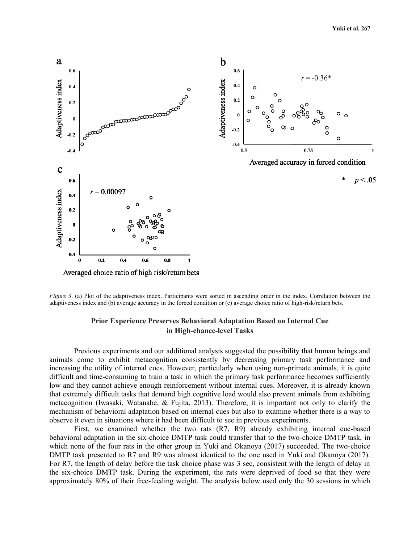

*Figure 3.* (a) Plot of the adaptiveness index. Participants were sorted in ascending order in the index. Correlation between the adaptiveness index and (b) average accuracy in the forced condition or (c) average choice ratio of high-risk/return bets.

## **Prior Experience Preserves Behavioral Adaptation Based on Internal Cue in High-chance-level Tasks**

Previous experiments and our additional analysis suggested the possibility that human beings and animals come to exhibit metacognition consistently by decreasing primary task performance and increasing the utility of internal cues. However, particularly when using non-primate animals, it is quite difficult and time-consuming to train a task in which the primary task performance becomes sufficiently low and they cannot achieve enough reinforcement without internal cues. Moreover, it is already known that extremely difficult tasks that demand high cognitive load would also prevent animals from exhibiting metacognition (Iwasaki, Watanabe, & Fujita, 2013). Therefore, it is important not only to clarify the mechanism of behavioral adaptation based on internal cues but also to examine whether there is a way to observe it even in situations where it had been difficult to see in previous experiments.

First, we examined whether the two rats (R7, R9) already exhibiting internal cue-based behavioral adaptation in the six-choice DMTP task could transfer that to the two-choice DMTP task, in which none of the four rats in the other group in Yuki and Okanoya (2017) succeeded. The two-choice DMTP task presented to R7 and R9 was almost identical to the one used in Yuki and Okanoya (2017). For R7, the length of delay before the task choice phase was 3 sec, consistent with the length of delay in the six-choice DMTP task. During the experiment, the rats were deprived of food so that they were approximately 80% of their free-feeding weight. The analysis below used only the 30 sessions in which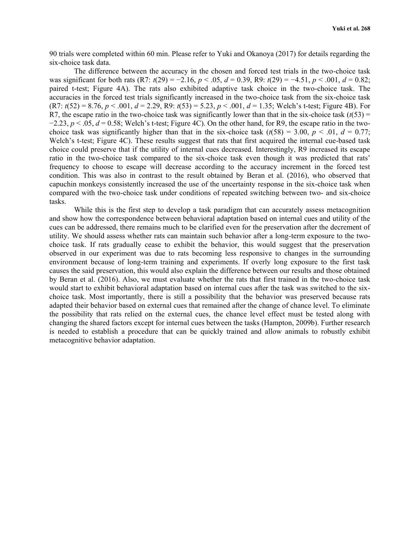90 trials were completed within 60 min. Please refer to Yuki and Okanoya (2017) for details regarding the six-choice task data.

The difference between the accuracy in the chosen and forced test trials in the two-choice task was significant for both rats  $(R7: t(29) = -2.16, p < .05, d = 0.39, R9: t(29) = -4.51, p < .001, d = 0.82;$ paired t-test; Figure 4A). The rats also exhibited adaptive task choice in the two-choice task. The accuracies in the forced test trials significantly increased in the two-choice task from the six-choice task  $(R7: t(52) = 8.76, p < .001, d = 2.29, R9: t(53) = 5.23, p < .001, d = 1.35$ ; Welch's t-test; Figure 4B). For R7, the escape ratio in the two-choice task was significantly lower than that in the six-choice task  $(t(53) =$  $-2.23$ ,  $p < 0.05$ ,  $d = 0.58$ ; Welch's t-test; Figure 4C). On the other hand, for R9, the escape ratio in the twochoice task was significantly higher than that in the six-choice task  $(t(58) = 3.00, p < .01, d = 0.77;$ Welch's t-test; Figure 4C). These results suggest that rats that first acquired the internal cue-based task choice could preserve that if the utility of internal cues decreased. Interestingly, R9 increased its escape ratio in the two-choice task compared to the six-choice task even though it was predicted that rats' frequency to choose to escape will decrease according to the accuracy increment in the forced test condition. This was also in contrast to the result obtained by Beran et al. (2016), who observed that capuchin monkeys consistently increased the use of the uncertainty response in the six-choice task when compared with the two-choice task under conditions of repeated switching between two- and six-choice tasks.

While this is the first step to develop a task paradigm that can accurately assess metacognition and show how the correspondence between behavioral adaptation based on internal cues and utility of the cues can be addressed, there remains much to be clarified even for the preservation after the decrement of utility. We should assess whether rats can maintain such behavior after a long-term exposure to the twochoice task. If rats gradually cease to exhibit the behavior, this would suggest that the preservation observed in our experiment was due to rats becoming less responsive to changes in the surrounding environment because of long-term training and experiments. If overly long exposure to the first task causes the said preservation, this would also explain the difference between our results and those obtained by Beran et al. (2016). Also, we must evaluate whether the rats that first trained in the two-choice task would start to exhibit behavioral adaptation based on internal cues after the task was switched to the sixchoice task. Most importantly, there is still a possibility that the behavior was preserved because rats adapted their behavior based on external cues that remained after the change of chance level. To eliminate the possibility that rats relied on the external cues, the chance level effect must be tested along with changing the shared factors except for internal cues between the tasks (Hampton, 2009b). Further research is needed to establish a procedure that can be quickly trained and allow animals to robustly exhibit metacognitive behavior adaptation.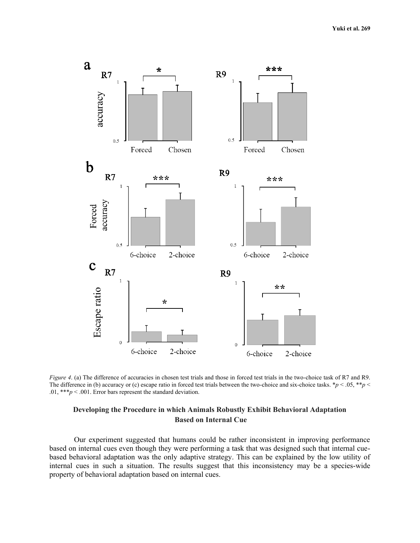

*Figure 4.* (a) The difference of accuracies in chosen test trials and those in forced test trials in the two-choice task of R7 and R9. The difference in (b) accuracy or (c) escape ratio in forced test trials between the two-choice and six-choice tasks.  $*p < .05, **p < .05$ .01, \*\*\**p* < .001. Error bars represent the standard deviation.

## **Developing the Procedure in which Animals Robustly Exhibit Behavioral Adaptation Based on Internal Cue**

Our experiment suggested that humans could be rather inconsistent in improving performance based on internal cues even though they were performing a task that was designed such that internal cuebased behavioral adaptation was the only adaptive strategy. This can be explained by the low utility of internal cues in such a situation. The results suggest that this inconsistency may be a species-wide property of behavioral adaptation based on internal cues.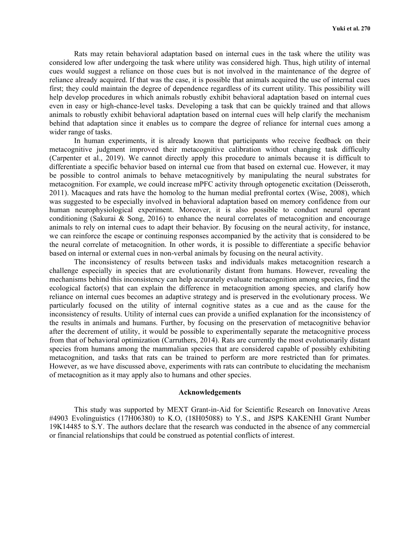Rats may retain behavioral adaptation based on internal cues in the task where the utility was considered low after undergoing the task where utility was considered high. Thus, high utility of internal cues would suggest a reliance on those cues but is not involved in the maintenance of the degree of reliance already acquired. If that was the case, it is possible that animals acquired the use of internal cues first; they could maintain the degree of dependence regardless of its current utility. This possibility will help develop procedures in which animals robustly exhibit behavioral adaptation based on internal cues even in easy or high-chance-level tasks. Developing a task that can be quickly trained and that allows animals to robustly exhibit behavioral adaptation based on internal cues will help clarify the mechanism behind that adaptation since it enables us to compare the degree of reliance for internal cues among a wider range of tasks.

In human experiments, it is already known that participants who receive feedback on their metacognitive judgment improved their metacognitive calibration without changing task difficulty (Carpenter et al., 2019). We cannot directly apply this procedure to animals because it is difficult to differentiate a specific behavior based on internal cue from that based on external cue. However, it may be possible to control animals to behave metacognitively by manipulating the neural substrates for metacognition. For example, we could increase mPFC activity through optogenetic excitation (Deisseroth, 2011). Macaques and rats have the homolog to the human medial prefrontal cortex (Wise, 2008), which was suggested to be especially involved in behavioral adaptation based on memory confidence from our human neurophysiological experiment. Moreover, it is also possible to conduct neural operant conditioning (Sakurai & Song, 2016) to enhance the neural correlates of metacognition and encourage animals to rely on internal cues to adapt their behavior. By focusing on the neural activity, for instance, we can reinforce the escape or continuing responses accompanied by the activity that is considered to be the neural correlate of metacognition. In other words, it is possible to differentiate a specific behavior based on internal or external cues in non-verbal animals by focusing on the neural activity.

The inconsistency of results between tasks and individuals makes metacognition research a challenge especially in species that are evolutionarily distant from humans. However, revealing the mechanisms behind this inconsistency can help accurately evaluate metacognition among species, find the ecological factor(s) that can explain the difference in metacognition among species, and clarify how reliance on internal cues becomes an adaptive strategy and is preserved in the evolutionary process. We particularly focused on the utility of internal cognitive states as a cue and as the cause for the inconsistency of results. Utility of internal cues can provide a unified explanation for the inconsistency of the results in animals and humans. Further, by focusing on the preservation of metacognitive behavior after the decrement of utility, it would be possible to experimentally separate the metacognitive process from that of behavioral optimization (Carruthers, 2014). Rats are currently the most evolutionarily distant species from humans among the mammalian species that are considered capable of possibly exhibiting metacognition, and tasks that rats can be trained to perform are more restricted than for primates. However, as we have discussed above, experiments with rats can contribute to elucidating the mechanism of metacognition as it may apply also to humans and other species.

### **Acknowledgements**

This study was supported by MEXT Grant-in-Aid for Scientific Research on Innovative Areas #4903 Evolinguistics (17H06380) to K.O, (18H05088) to Y.S., and JSPS KAKENHI Grant Number 19K14485 to S.Y. The authors declare that the research was conducted in the absence of any commercial or financial relationships that could be construed as potential conflicts of interest.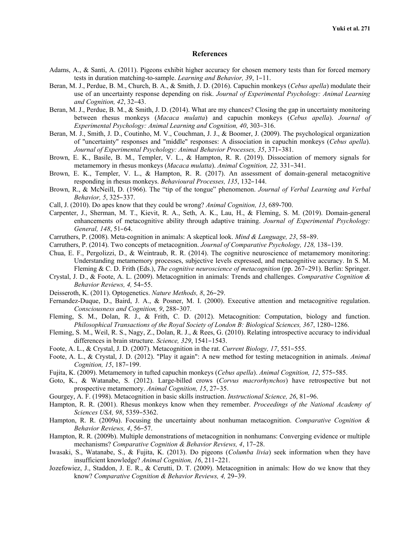#### **References**

- Adams, A., & Santi, A. (2011). Pigeons exhibit higher accuracy for chosen memory tests than for forced memory tests in duration matching-to-sample. *Learning and Behavior, 39*, 1–11.
- Beran, M. J., Perdue, B. M., Church, B. A., & Smith, J. D. (2016). Capuchin monkeys (*Cebus apella*) modulate their use of an uncertainty response depending on risk. *Journal of Experimental Psychology: Animal Learning and Cognition, 42*, 32–43.
- Beran, M. J., Perdue, B. M., & Smith, J. D. (2014). What are my chances? Closing the gap in uncertainty monitoring between rhesus monkeys (*Macaca mulatta*) and capuchin monkeys (*Cebus apella*). *Journal of Experimental Psychology: Animal Learning and Cognition, 40*, 303–316.
- Beran, M. J., Smith, J. D., Coutinho, M. V., Couchman, J. J., & Boomer, J. (2009). The psychological organization of "uncertainty" responses and "middle" responses: A dissociation in capuchin monkeys (*Cebus apella*). *Journal of Experimental Psychology: Animal Behavior Processes, 35*, 371–381.
- Brown, E. K., Basile, B. M., Templer, V. L., & Hampton, R. R. (2019). Dissociation of memory signals for metamemory in rhesus monkeys (*Macaca mulatta*). *Animal Cognition, 22,* 331–341.
- Brown, E. K., Templer, V. L., & Hampton, R. R. (2017). An assessment of domain-general metacognitive responding in rhesus monkeys. *Behavioural Processes, 135*, 132–144.
- Brown, R., & McNeill, D. (1966). The "tip of the tongue" phenomenon. *Journal of Verbal Learning and Verbal Behavior, 5*, 325–337.
- Call, J. (2010). Do apes know that they could be wrong? *Animal Cognition, 13*, 689-700.
- Carpenter, J., Sherman, M. T., Kievit, R. A., Seth, A. K., Lau, H., & Fleming, S. M. (2019). Domain-general enhancements of metacognitive ability through adaptive training. *Journal of Experimental Psychology: General, 148*, 51–64.
- Carruthers, P. (2008). Meta-cognition in animals: A skeptical look. *Mind & Language, 23*, 58–89.
- Carruthers, P. (2014). Two concepts of metacognition. *Journal of Comparative Psychology, 128,* 138–139.
- Chua, E. F., Pergolizzi, D., & Weintraub, R. R. (2014). The cognitive neuroscience of metamemory monitoring: Understanding metamemory processes, subjective levels expressed, and metacognitive accuracy. In S. M. Fleming & C. D. Frith (Eds.), *The cognitive neuroscience of metacognition* (pp. 267–291). Berlin: Springer.
- Crystal, J. D., & Foote, A. L. (2009). Metacognition in animals: Trends and challenges. *Comparative Cognition & Behavior Reviews, 4,* 54–55.
- Deisseroth, K. (2011). Optogenetics. *Nature Methods, 8*, 26–29.
- Fernandez-Duque, D., Baird, J. A., & Posner, M. I. (2000). Executive attention and metacognitive regulation. *Consciousness and Cognition, 9*, 288–307.
- Fleming, S. M., Dolan, R. J., & Frith, C. D. (2012). Metacognition: Computation, biology and function. *Philosophical Transactions of the Royal Society of London B: Biological Sciences, 367*, 1280–1286.
- Fleming, S. M., Weil, R. S., Nagy, Z., Dolan, R. J., & Rees, G. (2010). Relating introspective accuracy to individual differences in brain structure. *Science, 329*, 1541–1543.
- Foote, A. L., & Crystal, J. D. (2007). Metacognition in the rat. *Current Biology, 17*, 551–555.
- Foote, A. L., & Crystal, J. D. (2012). "Play it again": A new method for testing metacognition in animals. *Animal Cognition, 15*, 187–199.
- Fujita, K. (2009). Metamemory in tufted capuchin monkeys (*Cebus apella*). *Animal Cognition, 12*, 575–585.
- Goto, K., & Watanabe, S. (2012). Large-billed crows (*Corvus macrorhynchos*) have retrospective but not prospective metamemory. *Animal Cognition, 15*, 27–35.
- Gourgey, A. F. (1998). Metacognition in basic skills instruction. *Instructional Science, 26*, 81–96.
- Hampton, R. R. (2001). Rhesus monkeys know when they remember. *Proceedings of the National Academy of Sciences USA, 98*, 5359–5362.
- Hampton, R. R. (2009a). Focusing the uncertainty about nonhuman metacognition. *Comparative Cognition & Behavior Reviews, 4*, 56–57.
- Hampton, R. R. (2009b). Multiple demonstrations of metacognition in nonhumans: Converging evidence or multiple mechanisms? *Comparative Cognition & Behavior Reviews, 4*, 17–28.
- Iwasaki, S., Watanabe, S., & Fujita, K. (2013). Do pigeons (*Columba livia*) seek information when they have insufficient knowledge? *Animal Cognition, 16*, 211–221.
- Jozefowiez, J., Staddon, J. E. R., & Cerutti, D. T. (2009). Metacognition in animals: How do we know that they know? *Comparative Cognition & Behavior Reviews, 4,* 29–39.